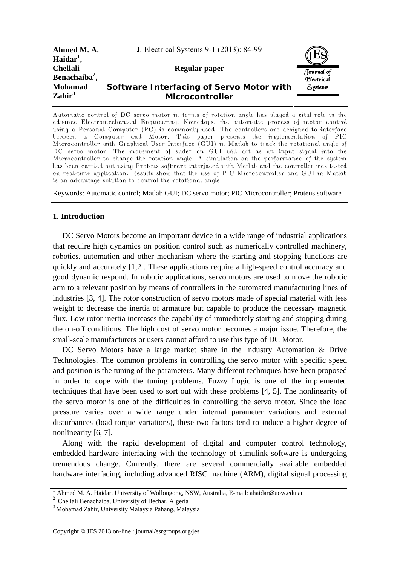| Ahmed M.A.<br>Haidar <sup>1</sup> ,          | J. Electrical Systems 9-1 (2013): 84-99                     |                                 |  |
|----------------------------------------------|-------------------------------------------------------------|---------------------------------|--|
| <b>Chellali</b><br>Benachaiba <sup>2</sup> , | Regular paper                                               | Journal of<br><i>Electrical</i> |  |
| <b>Mohamad</b><br>$\mathrm{Zahir}^3$         | Software Interfacing of Servo Motor with<br>Microcontroller | <b>Systems</b>                  |  |

Automatic control of DC servo motor in terms of rotation angle has played a vital role in the advance Electromechanical Engineering. Nowadays, the automatic process of motor control using a Personal Computer (PC) is commonly used. The controllers are designed to interface between a Computer and Motor. This paper presents the implementation of PIC Microcontroller with Graphical User Interface (GUI) in Matlab to track the rotational angle of DC servo motor. The movement of slider on GUI will act as an input signal into the Microcontroller to change the rotation angle. A simulation on the performance of the system has been carried out using Proteus software interfaced with Matlab and the controller was tested on real-time application. Results show that the use of PIC Microcontroller and GUI in Matlab is an advantage solution to control the rotational angle.

Keywords: Automatic control; Matlab GUI; DC servo motor; PIC Microcontroller; Proteus software

# **1. Introduction**

DC Servo Motors become an important device in a wide range of industrial applications that require high dynamics on position control such as numerically controlled machinery, robotics, automation and other mechanism where the starting and stopping functions are quickly and accurately [1,2]. These applications require a high-speed control accuracy and good dynamic respond. In robotic applications, servo motors are used to move the robotic arm to a relevant position by means of controllers in the automated manufacturing lines of industries [3, 4]. The rotor construction of servo motors made of special material with less weight to decrease the inertia of armature but capable to produce the necessary magnetic flux. Low rotor inertia increases the capability of immediately starting and stopping during the on-off conditions. The high cost of servo motor becomes a major issue. Therefore, the small-scale manufacturers or users cannot afford to use this type of DC Motor.

DC Servo Motors have a large market share in the Industry Automation & Drive Technologies. The common problems in controlling the servo motor with specific speed and position is the tuning of the parameters. Many different techniques have been proposed in order to cope with the tuning problems. Fuzzy Logic is one of the implemented techniques that have been used to sort out with these problems [4, 5]. The nonlinearity of the servo motor is one of the difficulties in controlling the servo motor. Since the load pressure varies over a wide range under internal parameter variations and external disturbances (load torque variations), these two factors tend to induce a higher degree of nonlinearity [6, 7].

Along with the rapid development of digital and computer control technology, embedded hardware interfacing with the technology of simulink software is undergoing tremendous change. Currently, there are several commercially available embedded hardware interfacing, including advanced RISC machine (ARM), digital signal processing

<sup>&</sup>lt;sup>1</sup> Ahmed M. A. Haidar, University of Wollongong, NSW, Australia, E-mail: ahaidar@uow.edu.au

<sup>2</sup> Chellali Benachaiba, University of Bechar, Algeria

<sup>3</sup> Mohamad Zahir, University Malaysia Pahang, Malaysia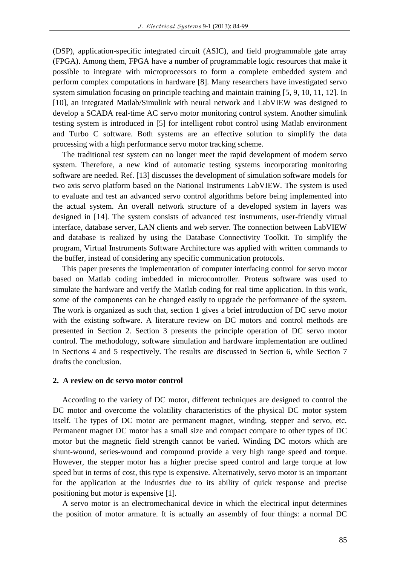(DSP), application-specific integrated circuit (ASIC), and field programmable gate array (FPGA). Among them, FPGA have a number of programmable logic resources that make it possible to integrate with microprocessors to form a complete embedded system and perform complex computations in hardware [8]. Many researchers have investigated servo system simulation focusing on principle teaching and maintain training [5, 9, 10, 11, 12]. In [10], an integrated Matlab/Simulink with neural network and LabVIEW was designed to develop a SCADA real-time AC servo motor monitoring control system. Another simulink testing system is introduced in [5] for intelligent robot control using Matlab environment and Turbo C software. Both systems are an effective solution to simplify the data processing with a high performance servo motor tracking scheme.

The traditional test system can no longer meet the rapid development of modern servo system. Therefore, a new kind of automatic testing systems incorporating monitoring software are needed. Ref. [13] discusses the development of simulation software models for two axis servo platform based on the National Instruments LabVIEW. The system is used to evaluate and test an advanced servo control algorithms before being implemented into the actual system. An overall network structure of a developed system in layers was designed in [14]. The system consists of advanced test instruments, user-friendly virtual interface, database server, LAN clients and web server. The connection between LabVIEW and database is realized by using the Database Connectivity Toolkit. To simplify the program, Virtual Instruments Software Architecture was applied with written commands to the buffer, instead of considering any specific communication protocols.

This paper presents the implementation of computer interfacing control for servo motor based on Matlab coding imbedded in microcontroller. Proteus software was used to simulate the hardware and verify the Matlab coding for real time application. In this work, some of the components can be changed easily to upgrade the performance of the system. The work is organized as such that, section 1 gives a brief introduction of DC servo motor with the existing software. A literature review on DC motors and control methods are presented in Section 2. Section 3 presents the principle operation of DC servo motor control. The methodology, software simulation and hardware implementation are outlined in Sections 4 and 5 respectively. The results are discussed in Section 6, while Section 7 drafts the conclusion.

## **2. A review on dc servo motor control**

According to the variety of DC motor, different techniques are designed to control the DC motor and overcome the volatility characteristics of the physical DC motor system itself. The types of DC motor are permanent magnet, winding, stepper and servo, etc. Permanent magnet DC motor has a small size and compact compare to other types of DC motor but the magnetic field strength cannot be varied. Winding DC motors which are shunt-wound, series-wound and compound provide a very high range speed and torque. However, the stepper motor has a higher precise speed control and large torque at low speed but in terms of cost, this type is expensive. Alternatively, servo motor is an important for the application at the industries due to its ability of quick response and precise positioning but motor is expensive [1].

A servo motor is an electromechanical device in which the electrical input determines the position of motor armature. It is actually an assembly of four things: a normal DC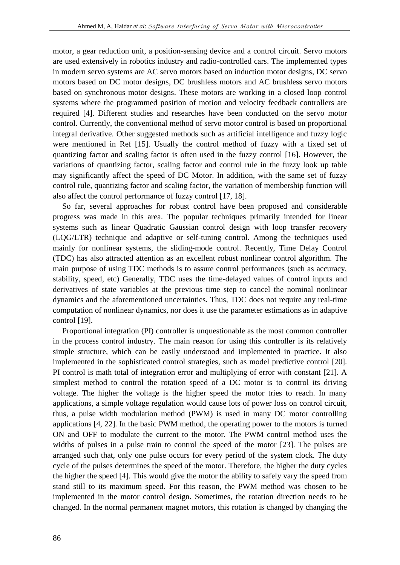motor, a gear reduction unit, a position-sensing device and a control circuit. Servo motors are used extensively in robotics industry and radio-controlled cars. The implemented types in modern servo systems are AC servo motors based on induction motor designs, DC servo motors based on DC motor designs, DC brushless motors and AC brushless servo motors based on synchronous motor designs. These motors are working in a closed loop control systems where the programmed position of motion and velocity feedback controllers are required [4]. Different studies and researches have been conducted on the servo motor control. Currently, the conventional method of servo motor control is based on proportional integral derivative. Other suggested methods such as artificial intelligence and fuzzy logic were mentioned in Ref [15]. Usually the control method of fuzzy with a fixed set of quantizing factor and scaling factor is often used in the fuzzy control [16]. However, the variations of quantizing factor, scaling factor and control rule in the fuzzy look up table may significantly affect the speed of DC Motor. In addition, with the same set of fuzzy control rule, quantizing factor and scaling factor, the variation of membership function will also affect the control performance of fuzzy control [17, 18].

So far, several approaches for robust control have been proposed and considerable progress was made in this area. The popular techniques primarily intended for linear systems such as linear Quadratic Gaussian control design with loop transfer recovery (LQG/LTR) technique and adaptive or self-tuning control. Among the techniques used mainly for nonlinear systems, the sliding-mode control. Recently, Time Delay Control (TDC) has also attracted attention as an excellent robust nonlinear control algorithm. The main purpose of using TDC methods is to assure control performances (such as accuracy, stability, speed, etc) Generally, TDC uses the time-delayed values of control inputs and derivatives of state variables at the previous time step to cancel the nominal nonlinear dynamics and the aforementioned uncertainties. Thus, TDC does not require any real-time computation of nonlinear dynamics, nor does it use the parameter estimations as in adaptive control [19].

Proportional integration (PI) controller is unquestionable as the most common controller in the process control industry. The main reason for using this controller is its relatively simple structure, which can be easily understood and implemented in practice. It also implemented in the sophisticated control strategies, such as model predictive control [20]. PI control is math total of integration error and multiplying of error with constant [21]. A simplest method to control the rotation speed of a DC motor is to control its driving voltage. The higher the voltage is the higher speed the motor tries to reach. In many applications, a simple voltage regulation would cause lots of power loss on control circuit, thus, a pulse width modulation method (PWM) is used in many DC motor controlling applications [4, 22]. In the basic PWM method, the operating power to the motors is turned ON and OFF to modulate the current to the motor. The PWM control method uses the widths of pulses in a pulse train to control the speed of the motor [23]. The pulses are arranged such that, only one pulse occurs for every period of the system clock. The duty cycle of the pulses determines the speed of the motor. Therefore, the higher the duty cycles the higher the speed [4]. This would give the motor the ability to safely vary the speed from stand still to its maximum speed. For this reason, the PWM method was chosen to be implemented in the motor control design. Sometimes, the rotation direction needs to be changed. In the normal permanent magnet motors, this rotation is changed by changing the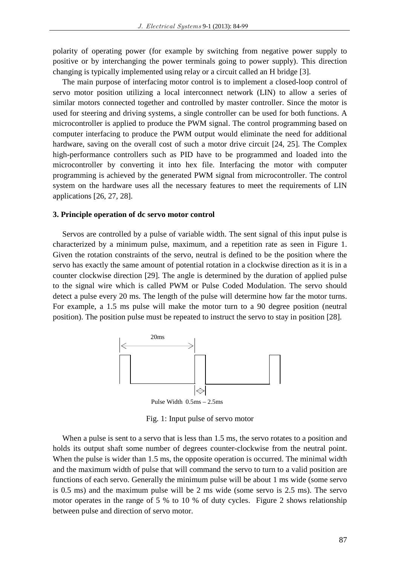polarity of operating power (for example by switching from negative power supply to positive or by interchanging the power terminals going to power supply). This direction changing is typically implemented using relay or a circuit called an H bridge [3].

The main purpose of interfacing motor control is to implement a closed-loop control of servo motor position utilizing a local interconnect network (LIN) to allow a series of similar motors connected together and controlled by master controller. Since the motor is used for steering and driving systems, a single controller can be used for both functions. A microcontroller is applied to produce the PWM signal. The control programming based on computer interfacing to produce the PWM output would eliminate the need for additional hardware, saving on the overall cost of such a motor drive circuit [24, 25]. The Complex high-performance controllers such as PID have to be programmed and loaded into the microcontroller by converting it into hex file. Interfacing the motor with computer programming is achieved by the generated PWM signal from microcontroller. The control system on the hardware uses all the necessary features to meet the requirements of LIN applications [26, 27, 28].

#### **3. Principle operation of dc servo motor control**

Servos are controlled by a pulse of variable width. The sent signal of this input pulse is characterized by a minimum pulse, maximum, and a repetition rate as seen in Figure 1.Given the rotation constraints of the servo, neutral is defined to be the position where the servo has exactly the same amount of potential rotation in a clockwise direction as it is in a counter clockwise direction [29]. The angle is determined by the duration of applied pulse to the signal wire which is called PWM or Pulse Coded Modulation. The servo should detect a pulse every 20 ms. The length of the pulse will determine how far the motor turns. For example, a 1.5 ms pulse will make the motor turn to a 90 degree position (neutral position). The position pulse must be repeated to instruct the servo to stay in position [28].



Fig. 1: Input pulse of servo motor

When a pulse is sent to a servo that is less than 1.5 ms, the servo rotates to a position and holds its output shaft some number of degrees counter-clockwise from the neutral point. When the pulse is wider than 1.5 ms, the opposite operation is occurred. The minimal width and the maximum width of pulse that will command the servo to turn to a valid position are functions of each servo. Generally the minimum pulse will be about 1 ms wide (some servo is 0.5 ms) and the maximum pulse will be 2 ms wide (some servo is 2.5 ms). The servo motor operates in the range of 5 % to 10 % of duty cycles. Figure 2 shows relationship between pulse and direction of servo motor.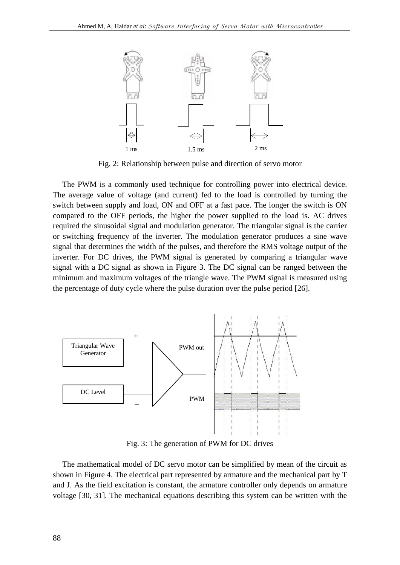

Fig. 2: Relationship between pulse and direction of servo motor

The PWM is a commonly used technique for controlling power into electrical device. The average value of voltage (and current) fed to the load is controlled by turning the switch between supply and load, ON and OFF at a fast pace. The longer the switch is ON compared to the OFF periods, the higher the power supplied to the load is. AC drives required the sinusoidal signal and modulation generator. The triangular signal is the carrier or switching frequency of the inverter. The modulation generator produces a sine wave signal that determines the width of the pulses, and therefore the RMS voltage output of the inverter. For DC drives, the PWM signal is generated by comparing a triangular wave signal with a DC signal as shown in Figure 3.The DC signal can be ranged between the minimum and maximum voltages of the triangle wave. The PWM signal is measured using the percentage of duty cycle where the pulse duration over the pulse period [26].



Fig. 3: The generation of PWM for DC drives

The mathematical model of DC servo motor can be simplified by mean of the circuit as shown in Figure 4. The electrical part represented by armature and the mechanical part by T and J. As the field excitation is constant, the armature controller only depends on armature voltage [30, 31]. The mechanical equations describing this system can be written with the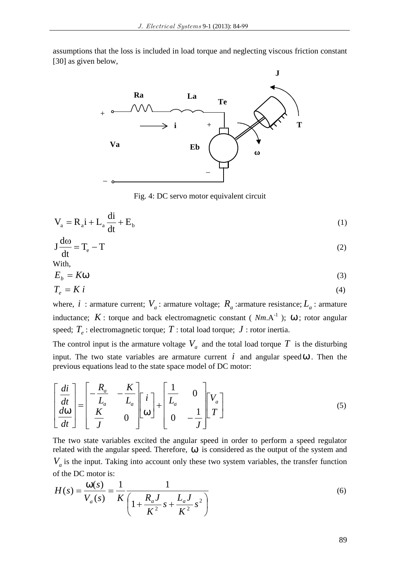assumptions that the loss is included in load torque and neglecting viscous friction constant [30] as given below,



Fig. 4: DC servo motor equivalent circuit

$$
V_a = R_a i + L_a \frac{di}{dt} + E_b
$$
 (1)

$$
J\frac{d\omega}{dt} = T_e - T
$$
 (2)

With,

$$
E_b = K\check{S}
$$
 (3)

$$
T_e = K i \tag{4}
$$

where,  $i$ : armature current;  $V_a$ : armature voltage;  $R_a$ : armature resistance;  $L_a$ : armature inductance;  $K$ : torque and back electromagnetic constant ( $Nm.A^{-1}$ );  $S$ ; rotor angular speed;  $T_e$  : electromagnetic torque;  $T$  : total load torque;  $J$  : rotor inertia.

The control input is the armature voltage  $V_a$  and the total load torque  $T$  is the disturbing input. The two state variables are armature current  $i$  and angular speed  $S$ . Then the previous equations lead to the state space model of DC motor:

$$
\begin{bmatrix} \frac{di}{dt} \\ \frac{d\tilde{S}}{dt} \end{bmatrix} = \begin{bmatrix} -\frac{R_a}{L_a} & -\frac{K}{L_a} \\ \frac{K}{J} & 0 \end{bmatrix} \begin{bmatrix} i \\ \tilde{S} \end{bmatrix} + \begin{bmatrix} \frac{1}{L_a} & 0 \\ 0 & -\frac{1}{J} \end{bmatrix} \begin{bmatrix} V_a \\ T \end{bmatrix}
$$
\n(5)

The two state variables excited the angular speed in order to perform a speed regulator related with the angular speed. Therefore,  $S$  is considered as the output of the system and  $V_a$  is the input. Taking into account only these two system variables, the transfer function of the DC motor is:

$$
H(s) = \frac{\tilde{S}(s)}{V_a(s)} = \frac{1}{K} \frac{1}{\left(1 + \frac{R_a J}{K^2} s + \frac{L_a J}{K^2} s^2\right)}
$$
(6)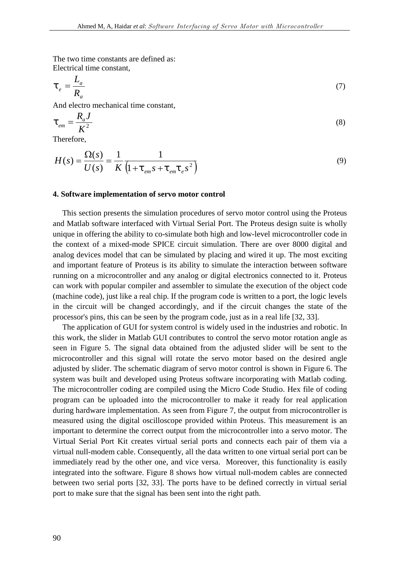The two time constants are defined as: Electrical time constant,

$$
\ddagger_e = \frac{L_a}{R_a} \tag{7}
$$

And electro mechanical time constant,

$$
\ddagger_{em} = \frac{R_a J}{K^2} \tag{8}
$$

Therefore,

$$
H(s) = \frac{\Omega(s)}{U(s)} = \frac{1}{K} \frac{1}{\left(1 + \frac{1}{\epsilon_m} s + \frac{1}{\epsilon_m} \frac{1}{\epsilon_s} s^2\right)}
$$
(9)

### **4. Software implementation of servo motor control**

This section presents the simulation procedures of servo motor control using the Proteus and Matlab software interfaced with Virtual Serial Port. The Proteus design suite is wholly unique in offering the ability to co-simulate both high and low-level microcontroller code in the context of a mixed-mode SPICE circuit simulation. There are over 8000 digital and analog devices model that can be simulated by placing and wired it up. The most exciting and important feature of Proteus is its ability to simulate the interaction between software running on a microcontroller and any analog or digital electronics connected to it. Proteus can work with popular compiler and assembler to simulate the execution of the object code (machine code), just like a real chip. If the program code is written to a port, the logic levels in the circuit will be changed accordingly, and if the circuit changes the state of the processor's pins, this can be seen by the program code, just as in a real life [32, 33].

The application of GUI for system control is widely used in the industries and robotic. In this work, the slider in Matlab GUI contributes to control the servo motor rotation angle as seen in Figure 5. The signal data obtained from the adjusted slider will be sent to the microcontroller and this signal will rotate the servo motor based on the desired angle adjusted by slider. The schematic diagram of servo motor control is shown in Figure 6. The system was built and developed using Proteus software incorporating with Matlab coding. The microcontroller coding are compiled using the Micro Code Studio. Hex file of coding program can be uploaded into the microcontroller to make it ready for real application during hardware implementation. As seen from Figure 7, the output from microcontroller is measured using the digital oscilloscope provided within Proteus. This measurement is an important to determine the correct output from the microcontroller into a servo motor. The Virtual Serial Port Kit creates virtual serial ports and connects each pair of them via a virtual null-modem cable. Consequently, all the data written to one virtual serial port can be immediately read by the other one, and vice versa. Moreover, this functionality is easily integrated into the software. Figure 8 shows how virtual null-modem cables are connected between two serial ports [32, 33]. The ports have to be defined correctly in virtual serial port to make sure that the signal has been sent into the right path.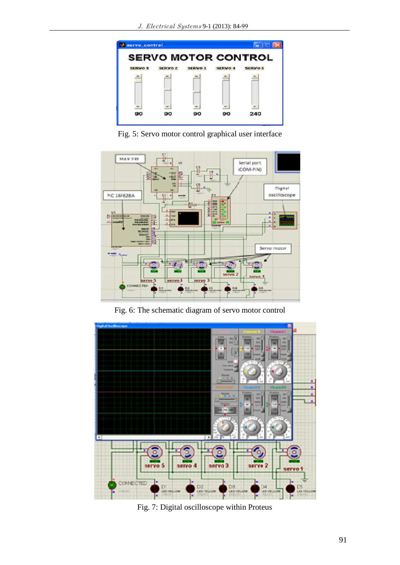

Fig. 5: Servo motor control graphical user interface



Fig. 6: The schematic diagram of servo motor control



Fig. 7: Digital oscilloscope within Proteus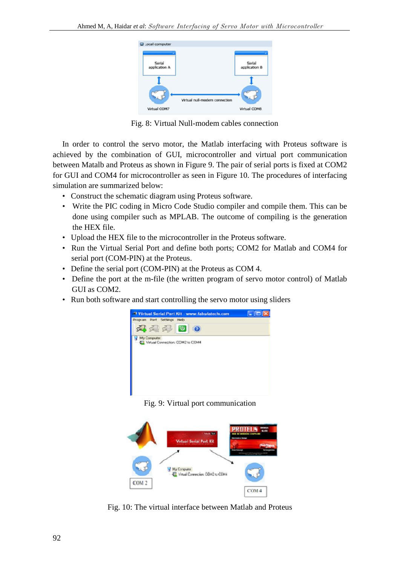

Fig. 8: Virtual Null-modem cables connection

In order to control the servo motor, the Matlab interfacing with Proteus software is achieved by the combination of GUI, microcontroller and virtual port communication between Matalb and Proteus as shown in Figure 9. The pair of serial ports is fixed at COM2 for GUI and COM4 for microcontroller as seen in Figure 10. The procedures of interfacing simulation are summarized below:

- Construct the schematic diagram using Proteus software.
- Write the PIC coding in Micro Code Studio compiler and compile them. This can be done using compiler such as MPLAB. The outcome of compiling is the generation the HEX file.
- Upload the HEX file to the microcontroller in the Proteus software.
- Run the Virtual Serial Port and define both ports; COM2 for Matlab and COM4 for serial port (COM-PIN) at the Proteus.
- Define the serial port (COM-PIN) at the Proteus as COM 4.
- Define the port at the m-file (the written program of servo motor control) of Matlab GUI as COM2.
- Run both software and start controlling the servo motor using sliders



Fig. 9: Virtual port communication



Fig. 10: The virtual interface between Matlab and Proteus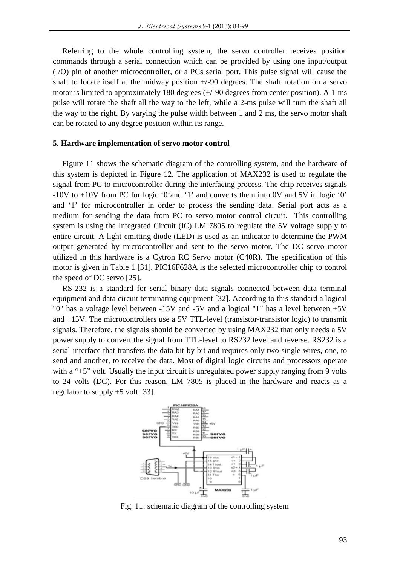Referring to the whole controlling system, the servo controller receives position commands through a serial connection which can be provided by using one input/output (I/O) pin of another microcontroller, or a PCs serial port. This pulse signal will cause the shaft to locate itself at the midway position  $+/-90$  degrees. The shaft rotation on a servo motor is limited to approximately 180 degrees (+/-90 degrees from center position). A 1-ms pulse will rotate the shaft all the way to the left, while a 2-ms pulse will turn the shaft all the way to the right. By varying the pulse width between 1 and 2 ms, the servo motor shaft can be rotated to any degree position within its range.

#### **5. Hardware implementation of servo motor control**

Figure 11 shows the schematic diagram of the controlling system, and the hardware of this system is depicted in Figure 12. The application of MAX232 is used to regulate the signal from PC to microcontroller during the interfacing process. The chip receives signals -10V to +10V from PC for logic '0'and '1' and converts them into 0V and 5V in logic '0' and '1' for microcontroller in order to process the sending data. Serial port acts as a medium for sending the data from PC to servo motor control circuit. This controlling system is using the Integrated Circuit (IC) LM 7805 to regulate the 5V voltage supply to entire circuit. A light-emitting diode (LED) is used as an indicator to determine the PWM output generated by microcontroller and sent to the servo motor. The DC servo motor utilized in this hardware is a Cytron RC Servo motor (C40R). The specification of this motor is given in Table 1 [31]. PIC16F628A is the selected microcontroller chip to control the speed of DC servo [25].

RS-232 is a standard for serial binary data signals connected between data terminal equipment and data circuit terminating equipment [32]. According to this standard a logical "0" has a voltage level between -15V and -5V and a logical "1" has a level between +5V and +15V. The microcontrollers use a 5V TTL-level (transistor-transistor logic) to transmit signals. Therefore, the signals should be converted by using MAX232 that only needs a 5V power supply to convert the signal from TTL-level to RS232 level and reverse. RS232 is a serial interface that transfers the data bit by bit and requires only two single wires, one, to send and another, to receive the data. Most of digital logic circuits and processors operate with a "+5" volt. Usually the input circuit is unregulated power supply ranging from 9 volts to 24 volts (DC). For this reason, LM 7805 is placed in the hardware and reacts as a regulator to supply +5 volt [33].



Fig. 11: schematic diagram of the controlling system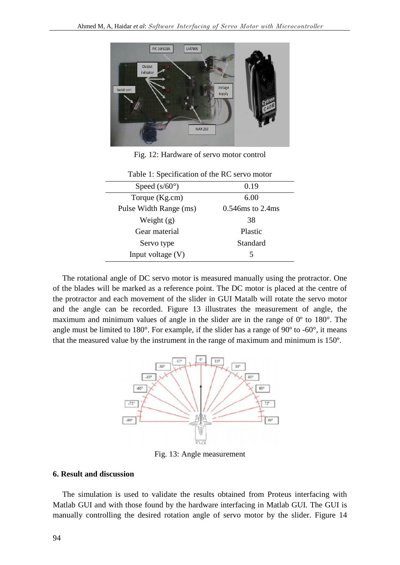

Fig. 12: Hardware of servo motor control

| Speed $(s/60^{\circ})$ | 0.19                |
|------------------------|---------------------|
| Torque (Kg.cm)         | 6.00                |
| Pulse Width Range (ms) | $0.546$ ms to 2.4ms |
| Weight $(g)$           | 38                  |
| Gear material          | Plastic             |
| Servo type             | Standard            |
| Input voltage $(V)$    |                     |

Table 1: Specification of the RC servo motor

The rotational angle of DC servo motor is measured manually using the protractor. One of the blades will be marked as a reference point. The DC motor is placed at the centre of the protractor and each movement of the slider in GUI Matalb will rotate the servo motor and the angle can be recorded. Figure 13 illustrates the measurement of angle, the maximum and minimum values of angle in the slider are in the range of 0º to 180°. The angle must be limited to 180°. For example, if the slider has a range of 90º to -60°, it means that the measured value by the instrument in the range of maximum and minimum is 150º.



Fig. 13: Angle measurement

## **6. Result and discussion**

The simulation is used to validate the results obtained from Proteus interfacing with Matlab GUI and with those found by the hardware interfacing in Matlab GUI. The GUI is manually controlling the desired rotation angle of servo motor by the slider. Figure 14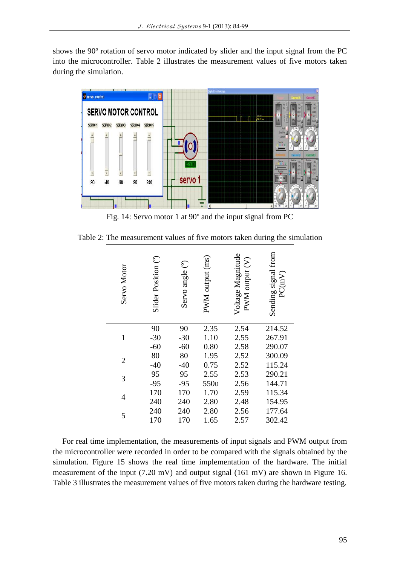shows the 90º rotation of servo motor indicated by slider and the input signal from the PC into the microcontroller. Table 2 illustrates the measurement values of five motors taken during the simulation.



Fig. 14: Servo motor 1 at 90º and the input signal from PC

Table 2: The measurement values of five motors taken during the simulation

| Servo Motor    | Slider Position (°) | Servo angle (°) | PWM output (ms) | Voltage Magnitude<br>$PWM$ output $(V)$ | Sending signal from<br>PC(mV) |  |
|----------------|---------------------|-----------------|-----------------|-----------------------------------------|-------------------------------|--|
|                | 90                  | 90              | 2.35            | 2.54                                    | 214.52                        |  |
| $\mathbf{1}$   | $-30$               | $-30$           | 1.10            | 2.55                                    | 267.91                        |  |
|                | $-60$               | $-60$           | 0.80            | 2.58                                    | 290.07                        |  |
| $\overline{2}$ | 80                  | 80              | 1.95            | 2.52                                    | 300.09                        |  |
|                | $-40$               | $-40$           | 0.75            | 2.52                                    | 115.24                        |  |
|                | 95                  | 95              | 2.55            | 2.53                                    | 290.21                        |  |
| 3              | $-95$               | $-95$           | 550u            | 2.56                                    | 144.71                        |  |
|                | 170                 | 170             | 1.70            | 2.59                                    | 115.34                        |  |
| 4              | 240                 | 240             | 2.80            | 2.48                                    | 154.95                        |  |
|                | 240                 | 240             | 2.80            | 2.56                                    | 177.64                        |  |
| 5              | 170                 | 170             | 1.65            | 2.57                                    | 302.42                        |  |

For real time implementation, the measurements of input signals and PWM output from the microcontroller were recorded in order to be compared with the signals obtained by the simulation. Figure 15 shows the real time implementation of the hardware. The initial measurement of the input (7.20 mV) and output signal (161 mV) are shown in Figure 16. Table 3 illustrates the measurement values of five motors taken during the hardware testing.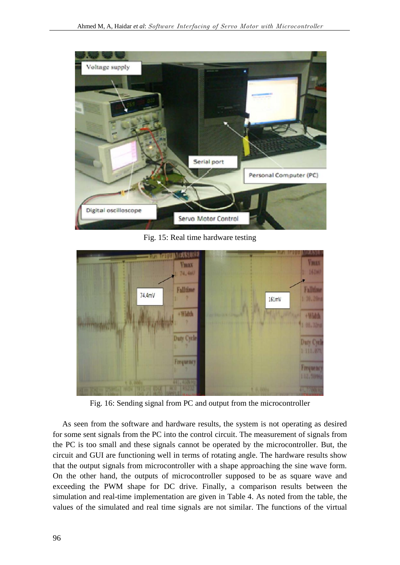

Fig. 15: Real time hardware testing



Fig. 16: Sending signal from PC and output from the microcontroller

As seen from the software and hardware results, the system is not operating as desired for some sent signals from the PC into the control circuit. The measurement of signals from the PC is too small and these signals cannot be operated by the microcontroller. But, the circuit and GUI are functioning well in terms of rotating angle. The hardware results show that the output signals from microcontroller with a shape approaching the sine wave form. On the other hand, the outputs of microcontroller supposed to be as square wave and exceeding the PWM shape for DC drive. Finally, a comparison results between the simulation and real-time implementation are given in Table 4. As noted from the table, the values of the simulated and real time signals are not similar. The functions of the virtual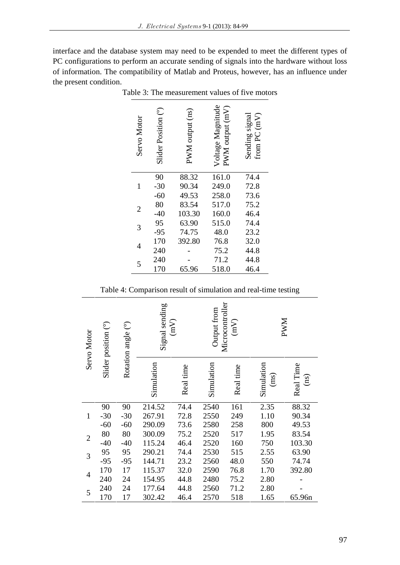interface and the database system may need to be expended to meet the different types of PC configurations to perform an accurate sending of signals into the hardware without loss of information. The compatibility of Matlab and Proteus, however, has an influence under the present condition.

| Servo Motor    | Slider Position (°) | PWM output (ns) | Voltage Magnitude<br>PWM output (mV) | Sending signal<br>from PC (mV) |
|----------------|---------------------|-----------------|--------------------------------------|--------------------------------|
|                | 90<br>$-30$         | 88.32<br>90.34  | 161.0<br>249.0                       | 74.4<br>72.8                   |
| 1              | $-60$               | 49.53           | 258.0                                | 73.6                           |
|                | 80                  | 83.54           | 517.0                                | 75.2                           |
| $\overline{2}$ | $-40$               | 103.30          | 160.0                                | 46.4                           |
| 3              | 95                  | 63.90           | 515.0                                | 74.4                           |
|                | $-95$               | 74.75           | 48.0                                 | 23.2                           |
| 4              | 170                 | 392.80          | 76.8                                 | 32.0                           |
|                | 240                 |                 | 75.2                                 | 44.8                           |
| 5              | 240                 |                 | 71.2                                 | 44.8                           |
|                | 170                 | 65.96           | 518.0                                | 46.4                           |

Table 3: The measurement values of five motors

Table 4: Comparison result of simulation and real-time testing

| Servo Motor    | Slider position (°) | $\widehat{\mathbb{C}}$<br>Rotation angle | Signal sending<br>$\binom{N}{n}$ |           | Microcontroller<br>Output from<br>(mV) |           | <b>NWN</b>         |                   |
|----------------|---------------------|------------------------------------------|----------------------------------|-----------|----------------------------------------|-----------|--------------------|-------------------|
|                |                     |                                          | Simulation                       | Real time | Simulation                             | Real time | Simulation<br>(ms) | Real Time<br>(ns) |
|                | 90                  | 90                                       | 214.52                           | 74.4      | 2540                                   | 161       | 2.35               | 88.32             |
| $\mathbf{1}$   | $-30$               | $-30$                                    | 267.91                           | 72.8      | 2550                                   | 249       | 1.10               | 90.34             |
|                | $-60$               | $-60$                                    | 290.09                           | 73.6      | 2580                                   | 258       | 800                | 49.53             |
| $\overline{2}$ | 80                  | 80                                       | 300.09                           | 75.2      | 2520                                   | 517       | 1.95               | 83.54             |
|                | $-40$               | $-40$                                    | 115.24                           | 46.4      | 2520                                   | 160       | 750                | 103.30            |
| 3              | 95                  | 95                                       | 290.21                           | 74.4      | 2530                                   | 515       | 2.55               | 63.90             |
|                | $-95$               | $-95$                                    | 144.71                           | 23.2      | 2560                                   | 48.0      | 550                | 74.74             |
| $\overline{4}$ | 170                 | 17                                       | 115.37                           | 32.0      | 2590                                   | 76.8      | 1.70               | 392.80            |
|                | 240                 | 24                                       | 154.95                           | 44.8      | 2480                                   | 75.2      | 2.80               |                   |
| 5              | 240                 | 24                                       | 177.64                           | 44.8      | 2560                                   | 71.2      | 2.80               |                   |
|                | 170                 | 17                                       | 302.42                           | 46.4      | 2570                                   | 518       | 1.65               | 65.96n            |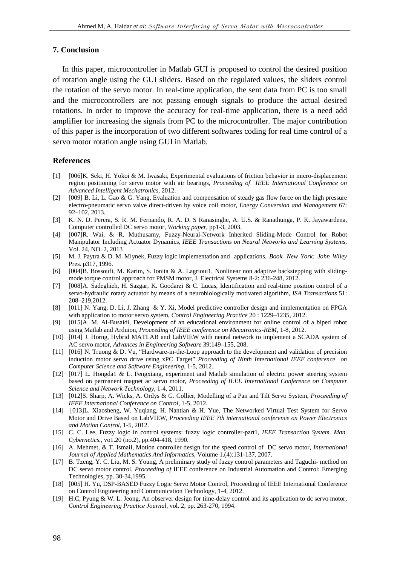### **7. Conclusion**

In this paper, microcontroller in Matlab GUI is proposed to control the desired position of rotation angle using the GUI sliders. Based on the regulated values, the sliders control the rotation of the servo motor. In real-time application, the sent data from PC is too small and the microcontrollers are not passing enough signals to produce the actual desired rotations. In order to improve the accuracy for real-time application, there is a need add amplifier for increasing the signals from PC to the microcontroller. The major contribution of this paper is the incorporation of two different softwares coding for real time control of a servo motor rotation angle using GUI in Matlab.

## **References**

- [1] [006]K. Seki, H. Yokoi & M. Iwasaki, Experimental evaluations of friction behavior in micro-displacement region positioning for servo motor with air bearings, *Proceeding of IEEE International Conference on Advanced Intelligent Mechatronics*, 2012.
- [2] [009] B. Li, L. Gao & G. Yang, Evaluation and compensation of steady gas flow force on the high pressure electro-pneumatic servo valve direct-driven by voice coil motor, *Energy Conversion and Management* 67: 92–102, 2013.
- [3] K. N. D. Perera, S. R. M. Fernando, R. A. D. S Ranasinghe, A. U.S. & Ranathunga, P. K. Jayawardena, Computer controlled DC servo motor, *Working paper*, pp1-3, 2003.
- [4] [007]R. Wai, & R. Muthusamy, Fuzzy-Neural-Network Inherited Sliding-Mode Control for Robot Manipulator Including Actuator Dynamics, *IEEE Transactions on Neural Networks and Learning Systems*, Vol. 24, NO. 2, 2013
- [5] M. J. Paytra & D. M. Mlynek, Fuzzy logic implementation and applications*, Book. New York: John Wiley* Pres. p317, 1996.
- [6] [004]B. Bossoufi, M. Karim, S. Ionita & A. Lagrioui1, Nonlinear non adaptive backstepping with sliding mode torque control approach for PMSM motor, J. Electrical Systems 8-2: 236-248, 2012.
- [7] [008]A. Sadeghieh, H. Sazgar, K. Goodarzi & C. Lucas, Identification and real-time position control of a servo-hydraulic rotary actuator by means of a neurobiologically motivated algorithm, *ISA Transactions* 51: 208–219,2012.
- [8] [011] N. Yang, D. Li, J. Zhang & Y. Xi, Model predictive controller design and implementation on FPGA with application to motor servo system, *Control Engineering Practice* 20 : 1229–1235, 2012.
- [9] [015]A. M. Al-Busaidi, Development of an educational environment for online control of a biped robot using Matlab and Arduion, *Proceeding of IEEE conference on Mecatronics-REM*, 1-8, 2012.
- [10] [014] J. Horng, Hybrid MATLAB and LabVIEW with neural network to implement a SCADA system of AC servo motor, *Advances in Engineering Software* 39:149–155, 208.
- [11] [016] N. Truong & D. Vu, "Hardware-in-the-Loop approach to the development and validation of precision induction motor servo drive using xPC Target" *Proceeding of Ninth International IEEE conference on Computer Science and Software Engineering*, 1-5, 2012.
- [12] [017] L. Hongda1 & L. Fengxiang, experiment and Matlab simulation of electric power steering system based on permanent magnet ac servo motor, *Proceeding of IEEE International Conference on Computer Science and Network Technology*, 1-4, 2011.
- [13] [012]S. Sharp, A. Wicks, A. Ordys & G. Collier, Modelling of a Pan and Tilt Servo System, *Proceeding of IEEE International Conference on Control*, 1-5, 2012.
- [14] [013]L. Xiaosheng, W. Yuqiang, H. Nantian & H. Yue, The Networked Virtual Test System for Servo Motor and Drive Based on LabVIEW, *Proceeding IEEE 7th international conference on Power Electronics and Motion Control*, 1-5, 2012.
- [15] C. C. Lee, Fuzzy logic in control systems: fuzzy logic controller-part1, *IEEE Transaction System. Man. Cybernetics.*, vo1.20 (no.2), pp.404-418, 1990.
- [16] A. Mehmet, & T. Ismail, Motion controller design for the speed control of DC servo motor, *International Journal of Applied Mathematics And Informatics,* Volume 1.(4):131-137, 2007.
- [17] B. Tzeng, Y. C. Liu, M. S. Young, A preliminary study of fuzzy control parameters and Taguchi- method on DC servo motor control, *Proceeding of* IEEE conference on Industrial Automation and Control: Emerging Technologies, pp. 30-34,1995.
- [18] [005] H. Yu, DSP-BASED Fuzzy Logic Servo Motor Control, Proceeding of IEEE International Conference on Control Engineering and Communication Technology, 1-4, 2012.
- [19] H.C, Pyung & W. L. Jeong, An observer design for time-delay control and its application to dc servo motor, *Control Engineering Practice Journal*, vol. 2, pp. 263-270, 1994.